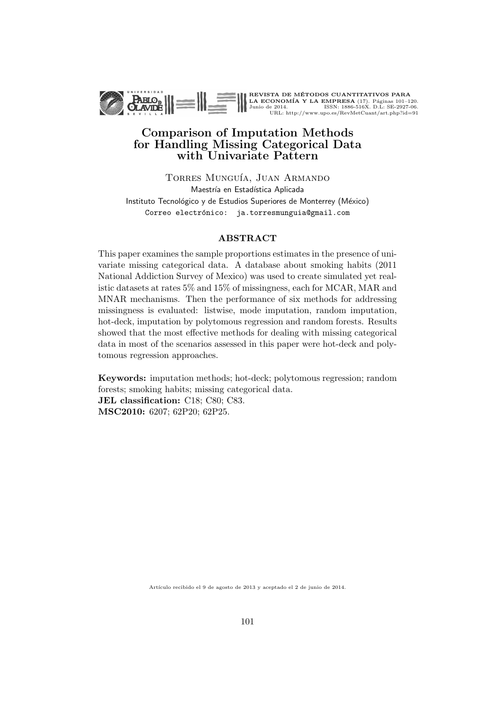

## Comparison of Imputation Methods for Handling Missing Categorical Data with Univariate Pattern

TORRES MUNGUÍA, JUAN ARMANDO Maestría en Estadística Aplicada Instituto Tecnológico y de Estudios Superiores de Monterrey (México) Correo electrónico: ja.torresmunguia@gmail.com

#### ABSTRACT

This paper examines the sample proportions estimates in the presence of univariate missing categorical data. A database about smoking habits (2011 National Addiction Survey of Mexico) was used to create simulated yet realistic datasets at rates 5% and 15% of missingness, each for MCAR, MAR and MNAR mechanisms. Then the performance of six methods for addressing missingness is evaluated: listwise, mode imputation, random imputation, hot-deck, imputation by polytomous regression and random forests. Results showed that the most effective methods for dealing with missing categorical data in most of the scenarios assessed in this paper were hot-deck and polytomous regression approaches.

Keywords: imputation methods; hot-deck; polytomous regression; random forests; smoking habits; missing categorical data. JEL classification: C18; C80; C83. MSC2010: 6207; 62P20; 62P25.

Artículo recibido el 9 de agosto de 2013 y aceptado el 2 de junio de 2014.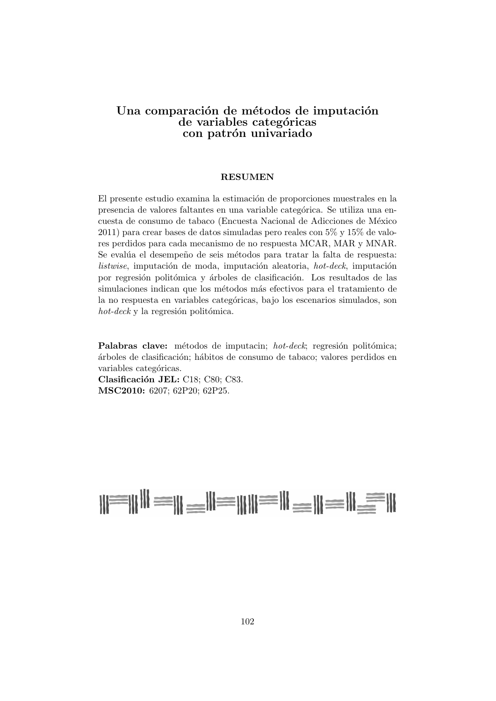## Una comparación de métodos de imputación de variables categóricas con patrón univariado

#### RESUMEN

El presente estudio examina la estimación de proporciones muestrales en la presencia de valores faltantes en una variable categórica. Se utiliza una encuesta de consumo de tabaco (Encuesta Nacional de Adicciones de México 2011) para crear bases de datos simuladas pero reales con 5% y 15% de valores perdidos para cada mecanismo de no respuesta MCAR, MAR y MNAR. Se evalúa el desempeño de seis métodos para tratar la falta de respuesta:  $listwise$ , imputación de moda, imputación aleatoria, hot-deck, imputación por regresión politómica y árboles de clasificación. Los resultados de las simulaciones indican que los métodos más efectivos para el tratamiento de la no respuesta en variables categóricas, bajo los escenarios simulados, son  $hot-deck$  y la regresión politómica.

Palabras clave: métodos de imputacin; hot-deck; regresión politómica; ´arboles de clasificaci´on; h´abitos de consumo de tabaco; valores perdidos en variables categóricas.

Clasificación JEL: C18; C80; C83. MSC2010: 6207; 62P20; 62P25.

# $||\equiv|||$   $||\equiv||\equiv||\equiv||\equiv||\equiv||\equiv||$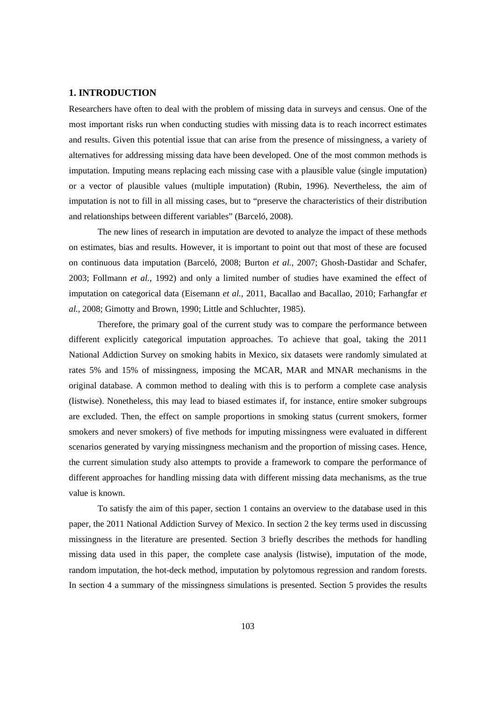#### **1. INTRODUCTION**

Researchers have often to deal with the problem of missing data in surveys and census. One of the most important risks run when conducting studies with missing data is to reach incorrect estimates and results. Given this potential issue that can arise from the presence of missingness, a variety of alternatives for addressing missing data have been developed. One of the most common methods is imputation. Imputing means replacing each missing case with a plausible value (single imputation) or a vector of plausible values (multiple imputation) (Rubin, 1996). Nevertheless, the aim of imputation is not to fill in all missing cases, but to "preserve the characteristics of their distribution and relationships between different variables" (Barceló, 2008).

The new lines of research in imputation are devoted to analyze the impact of these methods on estimates, bias and results. However, it is important to point out that most of these are focused on continuous data imputation (Barceló, 2008; Burton *et al.*, 2007; Ghosh-Dastidar and Schafer, 2003; Follmann *et al.*, 1992) and only a limited number of studies have examined the effect of imputation on categorical data (Eisemann *et al.*, 2011, Bacallao and Bacallao, 2010; Farhangfar *et al.*, 2008; Gimotty and Brown, 1990; Little and Schluchter, 1985).

Therefore, the primary goal of the current study was to compare the performance between different explicitly categorical imputation approaches. To achieve that goal, taking the 2011 National Addiction Survey on smoking habits in Mexico, six datasets were randomly simulated at rates 5% and 15% of missingness, imposing the MCAR, MAR and MNAR mechanisms in the original database. A common method to dealing with this is to perform a complete case analysis (listwise). Nonetheless, this may lead to biased estimates if, for instance, entire smoker subgroups are excluded. Then, the effect on sample proportions in smoking status (current smokers, former smokers and never smokers) of five methods for imputing missingness were evaluated in different scenarios generated by varying missingness mechanism and the proportion of missing cases. Hence, the current simulation study also attempts to provide a framework to compare the performance of different approaches for handling missing data with different missing data mechanisms, as the true value is known.

To satisfy the aim of this paper, section 1 contains an overview to the database used in this paper, the 2011 National Addiction Survey of Mexico. In section 2 the key terms used in discussing missingness in the literature are presented. Section 3 briefly describes the methods for handling missing data used in this paper, the complete case analysis (listwise), imputation of the mode, random imputation, the hot-deck method, imputation by polytomous regression and random forests. In section 4 a summary of the missingness simulations is presented. Section 5 provides the results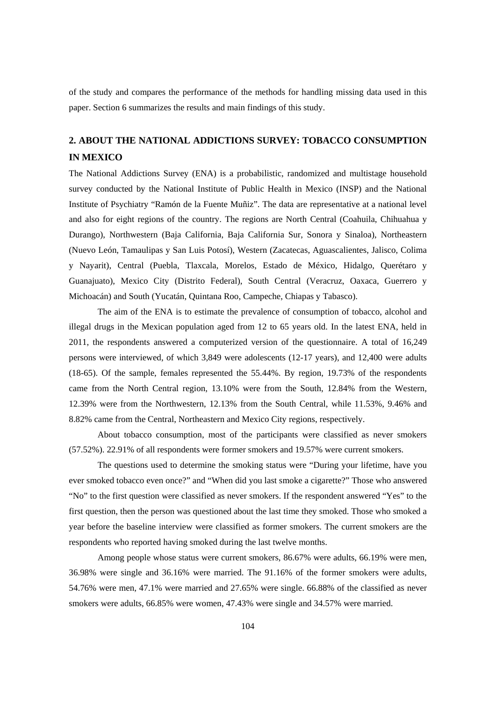of the study and compares the performance of the methods for handling missing data used in this paper. Section 6 summarizes the results and main findings of this study.

# **2. ABOUT THE NATIONAL ADDICTIONS SURVEY: TOBACCO CONSUMPTION IN MEXICO**

The National Addictions Survey (ENA) is a probabilistic, randomized and multistage household survey conducted by the National Institute of Public Health in Mexico (INSP) and the National Institute of Psychiatry "Ramón de la Fuente Muñiz". The data are representative at a national level and also for eight regions of the country. The regions are North Central (Coahuila, Chihuahua y Durango), Northwestern (Baja California, Baja California Sur, Sonora y Sinaloa), Northeastern (Nuevo León, Tamaulipas y San Luis Potosí), Western (Zacatecas, Aguascalientes, Jalisco, Colima y Nayarit), Central (Puebla, Tlaxcala, Morelos, Estado de México, Hidalgo, Querétaro y Guanajuato), Mexico City (Distrito Federal), South Central (Veracruz, Oaxaca, Guerrero y Michoacán) and South (Yucatán, Quintana Roo, Campeche, Chiapas y Tabasco).

The aim of the ENA is to estimate the prevalence of consumption of tobacco, alcohol and illegal drugs in the Mexican population aged from 12 to 65 years old. In the latest ENA, held in 2011, the respondents answered a computerized version of the questionnaire. A total of 16,249 persons were interviewed, of which 3,849 were adolescents (12-17 years), and 12,400 were adults (18-65). Of the sample, females represented the 55.44%. By region, 19.73% of the respondents came from the North Central region, 13.10% were from the South, 12.84% from the Western, 12.39% were from the Northwestern, 12.13% from the South Central, while 11.53%, 9.46% and 8.82% came from the Central, Northeastern and Mexico City regions, respectively.

About tobacco consumption, most of the participants were classified as never smokers (57.52%). 22.91% of all respondents were former smokers and 19.57% were current smokers.

The questions used to determine the smoking status were "During your lifetime, have you ever smoked tobacco even once?" and "When did you last smoke a cigarette?" Those who answered "No" to the first question were classified as never smokers. If the respondent answered "Yes" to the first question, then the person was questioned about the last time they smoked. Those who smoked a year before the baseline interview were classified as former smokers. The current smokers are the respondents who reported having smoked during the last twelve months.

Among people whose status were current smokers, 86.67% were adults, 66.19% were men, 36.98% were single and 36.16% were married. The 91.16% of the former smokers were adults, 54.76% were men, 47.1% were married and 27.65% were single. 66.88% of the classified as never smokers were adults, 66.85% were women, 47.43% were single and 34.57% were married.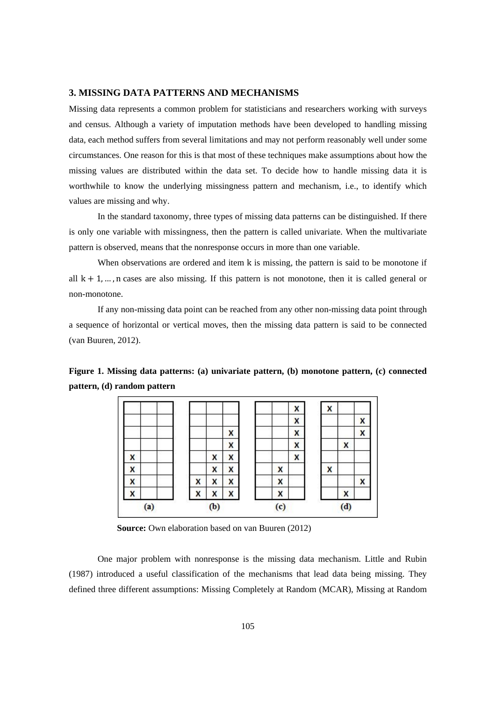#### **3. MISSING DATA PATTERNS AND MECHANISMS**

Missing data represents a common problem for statisticians and researchers working with surveys and census. Although a variety of imputation methods have been developed to handling missing data, each method suffers from several limitations and may not perform reasonably well under some circumstances. One reason for this is that most of these techniques make assumptions about how the missing values are distributed within the data set. To decide how to handle missing data it is worthwhile to know the underlying missingness pattern and mechanism, i.e., to identify which values are missing and why.

In the standard taxonomy, three types of missing data patterns can be distinguished. If there is only one variable with missingness, then the pattern is called univariate. When the multivariate pattern is observed, means that the nonresponse occurs in more than one variable.

When observations are ordered and item k is missing, the pattern is said to be monotone if all  $k + 1, \dots, n$  cases are also missing. If this pattern is not monotone, then it is called general or non-monotone.

If any non-missing data point can be reached from any other non-missing data point through a sequence of horizontal or vertical moves, then the missing data pattern is said to be connected (van Buuren, 2012).

**Figure 1. Missing data patterns: (a) univariate pattern, (b) monotone pattern, (c) connected pattern, (d) random pattern** 



**Source:** Own elaboration based on van Buuren (2012)

One major problem with nonresponse is the missing data mechanism. Little and Rubin (1987) introduced a useful classification of the mechanisms that lead data being missing. They defined three different assumptions: Missing Completely at Random (MCAR), Missing at Random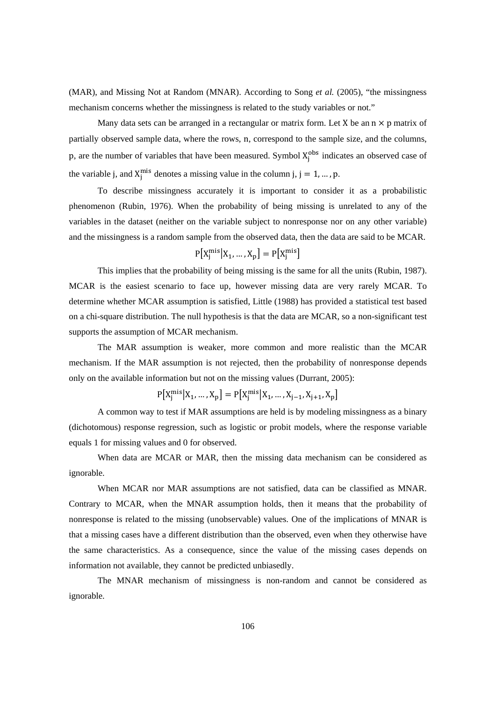(MAR), and Missing Not at Random (MNAR). According to Song *et al.* (2005), "the missingness mechanism concerns whether the missingness is related to the study variables or not."

Many data sets can be arranged in a rectangular or matrix form. Let X be an  $n \times p$  matrix of partially observed sample data, where the rows, n, correspond to the sample size, and the columns, p, are the number of variables that have been measured. Symbol  $X_j^{obs}$  indicates an observed case of the variable j, and  $X_j^{\text{mis}}$  denotes a missing value in the column j, j = 1, ..., p.

To describe missingness accurately it is important to consider it as a probabilistic phenomenon (Rubin, 1976). When the probability of being missing is unrelated to any of the variables in the dataset (neither on the variable subject to nonresponse nor on any other variable) and the missingness is a random sample from the observed data, then the data are said to be MCAR.

$$
P[X_j^{\text{mis}}|X_1,\ldots,X_p] = P[X_j^{\text{mis}}]
$$

This implies that the probability of being missing is the same for all the units (Rubin, 1987). MCAR is the easiest scenario to face up, however missing data are very rarely MCAR. To determine whether MCAR assumption is satisfied, Little (1988) has provided a statistical test based on a chi-square distribution. The null hypothesis is that the data are MCAR, so a non-significant test supports the assumption of MCAR mechanism.

The MAR assumption is weaker, more common and more realistic than the MCAR mechanism. If the MAR assumption is not rejected, then the probability of nonresponse depends only on the available information but not on the missing values (Durrant, 2005):

$$
P\big[X_j^{\text{mis}}\big|X_1,\ldots,X_p\big]=P\big[X_j^{\text{mis}}\big|X_1,\ldots,X_{j-1},X_{j+1},X_p\big]
$$

A common way to test if MAR assumptions are held is by modeling missingness as a binary (dichotomous) response regression, such as logistic or probit models, where the response variable equals 1 for missing values and 0 for observed.

When data are MCAR or MAR, then the missing data mechanism can be considered as ignorable.

When MCAR nor MAR assumptions are not satisfied, data can be classified as MNAR. Contrary to MCAR, when the MNAR assumption holds, then it means that the probability of nonresponse is related to the missing (unobservable) values. One of the implications of MNAR is that a missing cases have a different distribution than the observed, even when they otherwise have the same characteristics. As a consequence, since the value of the missing cases depends on information not available, they cannot be predicted unbiasedly.

The MNAR mechanism of missingness is non-random and cannot be considered as ignorable.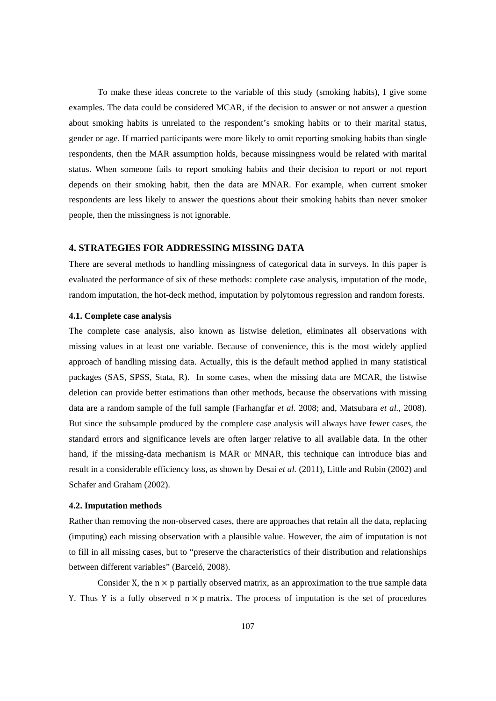To make these ideas concrete to the variable of this study (smoking habits), I give some examples. The data could be considered MCAR, if the decision to answer or not answer a question about smoking habits is unrelated to the respondent's smoking habits or to their marital status, gender or age. If married participants were more likely to omit reporting smoking habits than single respondents, then the MAR assumption holds, because missingness would be related with marital status. When someone fails to report smoking habits and their decision to report or not report depends on their smoking habit, then the data are MNAR. For example, when current smoker respondents are less likely to answer the questions about their smoking habits than never smoker people, then the missingness is not ignorable.

#### **4. STRATEGIES FOR ADDRESSING MISSING DATA**

There are several methods to handling missingness of categorical data in surveys. In this paper is evaluated the performance of six of these methods: complete case analysis, imputation of the mode, random imputation, the hot-deck method, imputation by polytomous regression and random forests.

#### **4.1. Complete case analysis**

The complete case analysis, also known as listwise deletion, eliminates all observations with missing values in at least one variable. Because of convenience, this is the most widely applied approach of handling missing data. Actually, this is the default method applied in many statistical packages (SAS, SPSS, Stata, R). In some cases, when the missing data are MCAR, the listwise deletion can provide better estimations than other methods, because the observations with missing data are a random sample of the full sample (Farhangfar *et al.* 2008; and, Matsubara *et al.*, 2008). But since the subsample produced by the complete case analysis will always have fewer cases, the standard errors and significance levels are often larger relative to all available data. In the other hand, if the missing-data mechanism is MAR or MNAR, this technique can introduce bias and result in a considerable efficiency loss, as shown by Desai *et al.* (2011), Little and Rubin (2002) and Schafer and Graham (2002).

#### **4.2. Imputation methods**

Rather than removing the non-observed cases, there are approaches that retain all the data, replacing (imputing) each missing observation with a plausible value. However, the aim of imputation is not to fill in all missing cases, but to "preserve the characteristics of their distribution and relationships between different variables" (Barceló, 2008).

Consider X, the  $n \times p$  partially observed matrix, as an approximation to the true sample data Y. Thus Y is a fully observed  $n \times p$  matrix. The process of imputation is the set of procedures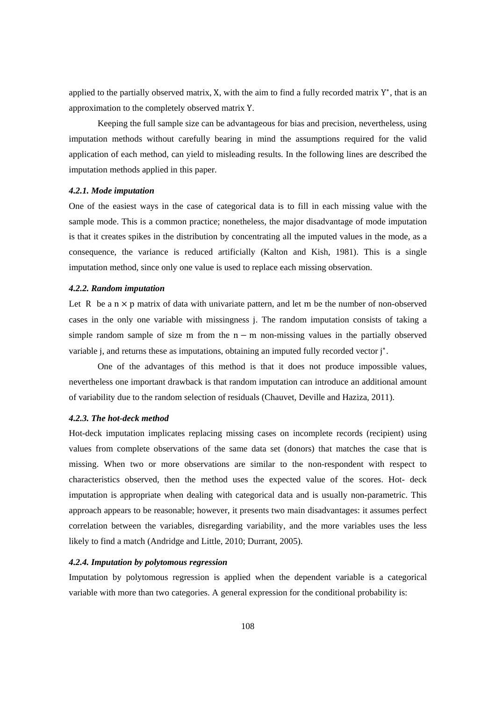applied to the partially observed matrix, X, with the aim to find a fully recorded matrix Y∗, that is an approximation to the completely observed matrix Y.

Keeping the full sample size can be advantageous for bias and precision, nevertheless, using imputation methods without carefully bearing in mind the assumptions required for the valid application of each method, can yield to misleading results. In the following lines are described the imputation methods applied in this paper.

#### *4.2.1. Mode imputation*

One of the easiest ways in the case of categorical data is to fill in each missing value with the sample mode. This is a common practice; nonetheless, the major disadvantage of mode imputation is that it creates spikes in the distribution by concentrating all the imputed values in the mode, as a consequence, the variance is reduced artificially (Kalton and Kish, 1981). This is a single imputation method, since only one value is used to replace each missing observation.

#### *4.2.2. Random imputation*

Let R be a  $n \times p$  matrix of data with univariate pattern, and let m be the number of non-observed cases in the only one variable with missingness j. The random imputation consists of taking a simple random sample of size m from the  $n - m$  non-missing values in the partially observed variable j, and returns these as imputations, obtaining an imputed fully recorded vector j<sup>\*</sup>.

One of the advantages of this method is that it does not produce impossible values, nevertheless one important drawback is that random imputation can introduce an additional amount of variability due to the random selection of residuals (Chauvet, Deville and Haziza, 2011).

#### *4.2.3. The hot-deck method*

Hot-deck imputation implicates replacing missing cases on incomplete records (recipient) using values from complete observations of the same data set (donors) that matches the case that is missing. When two or more observations are similar to the non-respondent with respect to characteristics observed, then the method uses the expected value of the scores. Hot- deck imputation is appropriate when dealing with categorical data and is usually non-parametric. This approach appears to be reasonable; however, it presents two main disadvantages: it assumes perfect correlation between the variables, disregarding variability, and the more variables uses the less likely to find a match (Andridge and Little, 2010; Durrant, 2005).

### *4.2.4. Imputation by polytomous regression*

Imputation by polytomous regression is applied when the dependent variable is a categorical variable with more than two categories. A general expression for the conditional probability is: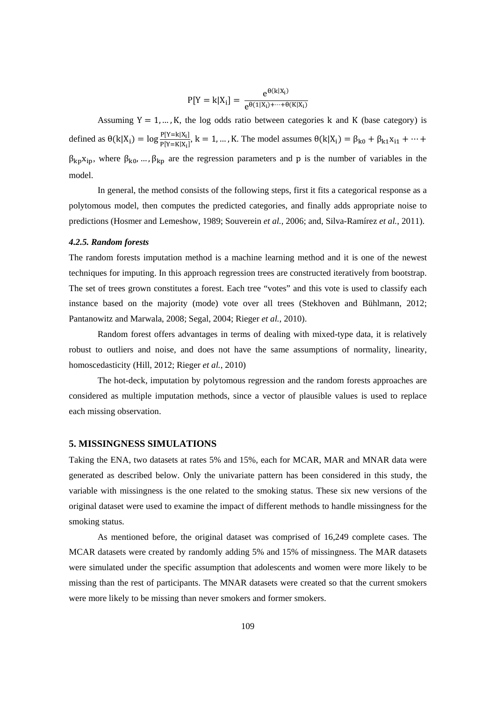$$
P[Y=k|X_i] = \frac{e^{\theta(k|X_i)}}{e^{\theta(1|X_i)+\cdots+\theta(K|X_i)}}
$$

Assuming  $Y = 1, ..., K$ , the log odds ratio between categories k and K (base category) is defined as  $\theta(k|X_i) = \log \frac{P[Y=k|X_i]}{P[Y=k|X_i]}$ ,  $k = 1, ..., K$ . The model assumes  $\theta(k|X_i) = \beta_{k0} + \beta_{k1}x_{i1} + \cdots$  $\beta_{kp}x_{ip}$ , where  $\beta_{k0}$ , ...,  $\beta_{kp}$  are the regression parameters and p is the number of variables in the model.

In general, the method consists of the following steps, first it fits a categorical response as a polytomous model, then computes the predicted categories, and finally adds appropriate noise to predictions (Hosmer and Lemeshow, 1989; Souverein *et al.*, 2006; and, Silva-Ramírez *et al.*, 2011).

#### *4.2.5. Random forests*

The random forests imputation method is a machine learning method and it is one of the newest techniques for imputing. In this approach regression trees are constructed iteratively from bootstrap. The set of trees grown constitutes a forest. Each tree "votes" and this vote is used to classify each instance based on the majority (mode) vote over all trees (Stekhoven and Bühlmann, 2012; Pantanowitz and Marwala, 2008; Segal, 2004; Rieger *et al.*, 2010).

Random forest offers advantages in terms of dealing with mixed-type data, it is relatively robust to outliers and noise, and does not have the same assumptions of normality, linearity, homoscedasticity (Hill, 2012; Rieger *et al.*, 2010)

The hot-deck, imputation by polytomous regression and the random forests approaches are considered as multiple imputation methods, since a vector of plausible values is used to replace each missing observation.

#### **5. MISSINGNESS SIMULATIONS**

Taking the ENA, two datasets at rates 5% and 15%, each for MCAR, MAR and MNAR data were generated as described below. Only the univariate pattern has been considered in this study, the variable with missingness is the one related to the smoking status. These six new versions of the original dataset were used to examine the impact of different methods to handle missingness for the smoking status.

As mentioned before, the original dataset was comprised of 16,249 complete cases. The MCAR datasets were created by randomly adding 5% and 15% of missingness. The MAR datasets were simulated under the specific assumption that adolescents and women were more likely to be missing than the rest of participants. The MNAR datasets were created so that the current smokers were more likely to be missing than never smokers and former smokers.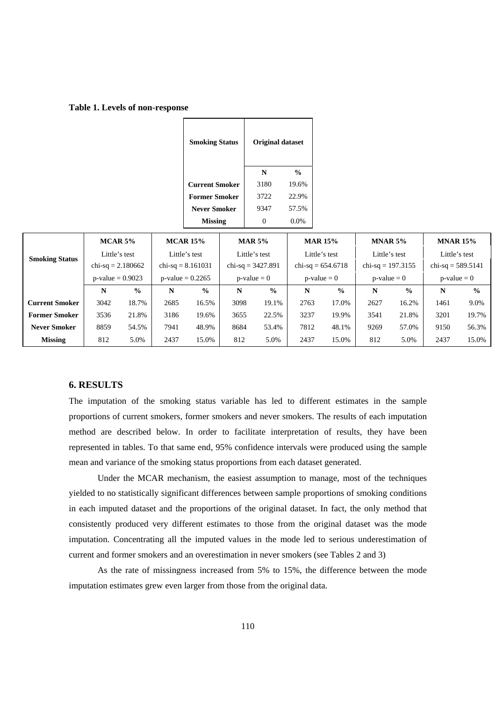| Table 1. Levels of non-response |
|---------------------------------|
|---------------------------------|

| <b>Smoking Status</b> | <b>Original dataset</b> |               |  |  |
|-----------------------|-------------------------|---------------|--|--|
|                       | N                       | $\frac{0}{0}$ |  |  |
| <b>Current Smoker</b> | 3180                    | 19.6%         |  |  |
| <b>Former Smoker</b>  | 3722                    | 22.9%         |  |  |
| <b>Never Smoker</b>   | 9347                    | 57.5%         |  |  |
| <b>Missing</b>        |                         | $0.0\%$       |  |  |

| $MCAR$ 5%             |                     |               | <b>MCAR 15%</b>     |                     | <b>MAR 5%</b> |               | <b>MAR 15%</b> |                     | MNAR 5% |                     | <b>MNAR 15%</b> |                     |  |  |  |  |  |                     |  |
|-----------------------|---------------------|---------------|---------------------|---------------------|---------------|---------------|----------------|---------------------|---------|---------------------|-----------------|---------------------|--|--|--|--|--|---------------------|--|
| <b>Smoking Status</b> | Little's test       |               | Little's test       |                     |               | Little's test |                | Little's test       |         | Little's test       |                 | Little's test       |  |  |  |  |  |                     |  |
|                       | chi-sq = $2.180662$ |               |                     | chi-sq = $8.161031$ |               |               |                | chi-sq = $654.6718$ |         | chi-sq = $197.3155$ |                 | chi-sq = $3427.891$ |  |  |  |  |  | chi-sq = $589.5141$ |  |
|                       | $p$ -value = 0.9023 |               | $p$ -value = 0.2265 |                     |               | $p-value = 0$ |                | $p-value = 0$       |         | $p-value = 0$       |                 | $p-value = 0$       |  |  |  |  |  |                     |  |
|                       | N                   | $\frac{0}{0}$ | N                   | $\frac{0}{0}$       | N             | $\frac{6}{9}$ | N              | $\frac{0}{0}$       | N       | $\frac{0}{0}$       | N               | $\frac{0}{0}$       |  |  |  |  |  |                     |  |
| <b>Current Smoker</b> | 3042                | 18.7%         | 2685                | 16.5%               | 3098          | 19.1%         | 2763           | 17.0%               | 2627    | 16.2%               | 1461            | 9.0%                |  |  |  |  |  |                     |  |
| <b>Former Smoker</b>  | 3536                | 21.8%         | 3186                | 19.6%               | 3655          | 22.5%         | 3237           | 19.9%               | 3541    | 21.8%               | 3201            | 19.7%               |  |  |  |  |  |                     |  |
| <b>Never Smoker</b>   | 8859                | 54.5%         | 7941                | 48.9%               | 8684          | 53.4%         | 7812           | 48.1%               | 9269    | 57.0%               | 9150            | 56.3%               |  |  |  |  |  |                     |  |
| <b>Missing</b>        | 812                 | 5.0%          | 2437                | 15.0%               | 812           | 5.0%          |                | 15.0%               | 812     | 5.0%                | 2437            | 15.0%               |  |  |  |  |  |                     |  |

#### **6. RESULTS**

The imputation of the smoking status variable has led to different estimates in the sample proportions of current smokers, former smokers and never smokers. The results of each imputation method are described below. In order to facilitate interpretation of results, they have been represented in tables. To that same end, 95% confidence intervals were produced using the sample mean and variance of the smoking status proportions from each dataset generated.

Under the MCAR mechanism, the easiest assumption to manage, most of the techniques yielded to no statistically significant differences between sample proportions of smoking conditions in each imputed dataset and the proportions of the original dataset. In fact, the only method that consistently produced very different estimates to those from the original dataset was the mode imputation. Concentrating all the imputed values in the mode led to serious underestimation of current and former smokers and an overestimation in never smokers (see Tables 2 and 3)

As the rate of missingness increased from 5% to 15%, the difference between the mode imputation estimates grew even larger from those from the original data.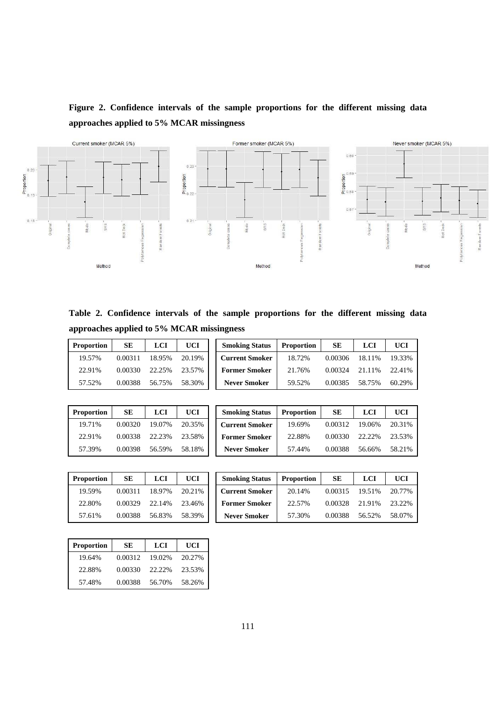# **Figure 2. Confidence intervals of the sample proportions for the different missing data approaches applied to 5% MCAR missingness**



**Table 2. Confidence intervals of the sample proportions for the different missing data approaches applied to 5% MCAR missingness** 

| <b>Proportion</b> | <b>SE</b> | LCI    | <b>UCI</b> | <b>Smoking Status</b> | <b>Proportion</b> | <b>SE</b> | LCI    | UCI    |
|-------------------|-----------|--------|------------|-----------------------|-------------------|-----------|--------|--------|
| 19.57%            | 0.00311   | 18.95% | 20.19%     | <b>Current Smoker</b> | 18.72%            | 0.00306   | 18.11% | 19.33% |
| 22.91%            | 0.00330   | 22.25% | 23.57%     | <b>Former Smoker</b>  | 21.76%            | 0.00324   | 21.11% | 22.41% |
| 57.52%            | 0.00388   | 56.75% | 58.30%     | <b>Never Smoker</b>   | 59.52%            | 0.00385   | 58.75% | 60.29% |
|                   |           |        |            |                       |                   |           |        |        |

| <b>Proportion</b> | SЕ      | LCI    | UCI    |  |  |
|-------------------|---------|--------|--------|--|--|
| 19.71%            | 0.00320 | 19.07% | 20.35% |  |  |
| 22.91%            | 0.00338 | 22.23% | 23.58% |  |  |
| 57.39%            | 0.00398 | 56.59% | 58.18% |  |  |

| Proportion | SE      | LCI    | <b>UCI</b> | <b>Smoking Status</b> | <b>Proportion</b> | SЕ      | LCI    | UCI    |
|------------|---------|--------|------------|-----------------------|-------------------|---------|--------|--------|
| 19.71%     | 0.00320 | 19.07% | 20.35%     | <b>Current Smoker</b> | 19.69%            | 0.00312 | 19.06% | 20.31% |
| 22.91%     | 0.00338 | 22.23% | 23.58%     | <b>Former Smoker</b>  | 22.88%            | 0.00330 | 22.22% | 23.53% |
| 57.39%     | 0.00398 | 56.59% | 58.18%     | <b>Never Smoker</b>   | 57.44%            | 0.00388 | 56.66% | 58.21% |

| <b>Proportion</b> | SЕ      | LCI    | UCI    |  |  |
|-------------------|---------|--------|--------|--|--|
| 19.59%            | 0.00311 | 18.97% | 20.21% |  |  |
| 22.80%            | 0.00329 | 22.14% | 23.46% |  |  |
| 57.61%            | 0.00388 | 56.83% | 58.39% |  |  |

| Proportion | SE      | LCI    | <b>UCI</b> | <b>Smoking Status</b> | <b>Proportion</b> | <b>SE</b> | LCI    | UCI    |
|------------|---------|--------|------------|-----------------------|-------------------|-----------|--------|--------|
| 19.59%     | 0.00311 | 18.97% | 20.21%     | <b>Current Smoker</b> | 20.14%            | 0.00315   | 19.51% | 20.77% |
| 22.80%     | 0.00329 | 22.14% | 23.46%     | <b>Former Smoker</b>  | 22.57%            | 0.00328   | 21.91% | 23.22% |
| 57.61%     | 0.00388 | 56.83% | 58.39%     | <b>Never Smoker</b>   | 57.30%            | 0.00388   | 56.52% | 58.07% |

| <b>Proportion</b> | SЕ      | LCI    | UCI    |  |  |
|-------------------|---------|--------|--------|--|--|
| 19.64%            | 0.00312 | 19.02% | 20.27% |  |  |
| 22.88%            | 0.00330 | 22.22% | 23.53% |  |  |
| 57.48%            | 0.00388 | 56.70% | 58.26% |  |  |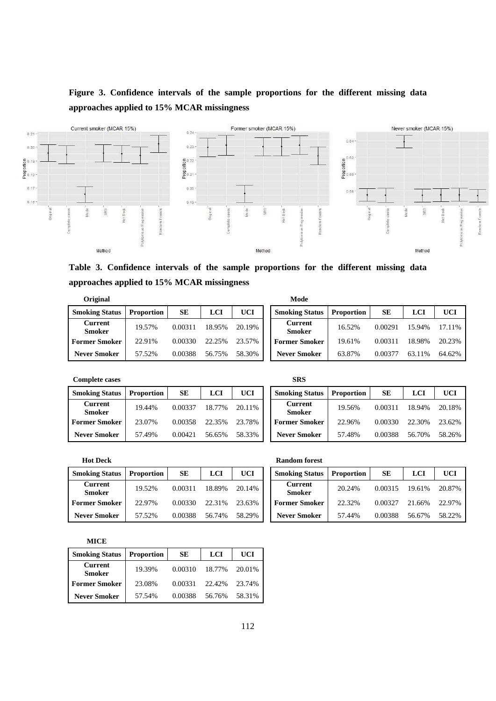# **Figure 3. Confidence intervals of the sample proportions for the different missing data approaches applied to 15% MCAR missingness**



**Table 3. Confidence intervals of the sample proportions for the different missing data approaches applied to 15% MCAR missingness** 

| Original                        |                   |         |        |            | Mode                            |                   |         |            |        |
|---------------------------------|-------------------|---------|--------|------------|---------------------------------|-------------------|---------|------------|--------|
| <b>Smoking Status</b>           | <b>Proportion</b> | SЕ      | LCI    | <b>UCI</b> | <b>Smoking Status</b>           | <b>Proportion</b> | SE      | <b>LCI</b> | UCI    |
| <b>Current</b><br><b>Smoker</b> | 19.57%            | 0.00311 | 18.95% | 20.19%     | <b>Current</b><br><b>Smoker</b> | 16.52%            | 0.00291 | 15.94%     | 17.119 |
| <b>Former Smoker</b>            | 22.91%            | 0.00330 | 22.25% | 23.57%     | <b>Former Smoker</b>            | 19.61%            | 0.00311 | 18.98%     | 20.239 |
| <b>Never Smoker</b>             | 57.52%            | 0.00388 | 56.75% | 58.30%     | <b>Never Smoker</b>             | 63.87%            | 0.00377 | 63.11%     | 64.629 |

| Uriginal                        |                   | woae      |        |        |  |                                 |                   |           |        |        |  |  |
|---------------------------------|-------------------|-----------|--------|--------|--|---------------------------------|-------------------|-----------|--------|--------|--|--|
| <b>Smoking Status</b>           | <b>Proportion</b> | <b>SE</b> | LCI    | UCI    |  | <b>Smoking Status</b>           | <b>Proportion</b> | <b>SE</b> | LCI    | UCI    |  |  |
| <b>Current</b><br><b>Smoker</b> | 19.57%            | 0.00311   | 18.95% | 20.19% |  | <b>Current</b><br><b>Smoker</b> | 16.52%            | 0.00291   | 15.94% | 17.11% |  |  |
| Former Smoker                   | 22.91%            | 0.00330   | 22.25% | 23.57% |  | <b>Former Smoker</b>            | 19.61%            | 0.00311   | 18.98% | 20.23% |  |  |
| <b>Never Smoker</b>             | 57.52%            | 0.00388   | 56.75% | 58.30% |  | <b>Never Smoker</b>             | 63.87%            | 0.00377   | 63.11% | 64.62% |  |  |

**Complete cases SRS** 

| <b>Smoking Status</b>    | <b>Proportion</b> | <b>SE</b> | <b>LCI</b> | UCI    | <b>Smoking Sta</b>       |
|--------------------------|-------------------|-----------|------------|--------|--------------------------|
| <b>Current</b><br>Smoker | 19.44%            | 0.00337   | 18.77%     | 20.11% | <b>Current</b><br>Smoker |
| <b>Former Smoker</b>     | 23.07%            | 0.00358   | 22.35%     | 23.78% | <b>Former Smo</b>        |
| <b>Never Smoker</b>      | 57.49%            | 0.00421   | 56.65%     | 58.33% | <b>Never Smok</b>        |

| <b>Complete cases</b>    | SRS        |         |            |            |  |                                 |                   |           |        |        |
|--------------------------|------------|---------|------------|------------|--|---------------------------------|-------------------|-----------|--------|--------|
| <b>Smoking Status</b>    | Proportion | SЕ      | <b>LCI</b> | <b>UCI</b> |  | <b>Smoking Status</b>           | <b>Proportion</b> | <b>SE</b> | LCI    | UCI    |
| Current<br><b>Smoker</b> | 19.44%     | 0.00337 | 18.77%     | 20.11\%    |  | <b>Current</b><br><b>Smoker</b> | 19.56%            | 0.00311   | 18.94% | 20.18% |
| Former Smoker            | 23.07%     | 0.00358 | 22.35%     | 23.78%     |  | <b>Former Smoker</b>            | 22.96%            | 0.00330   | 22.30% | 23.62% |
| <b>Never Smoker</b>      | 57.49%     | 0.00421 | 56.65%     | 58.33%     |  | Never Smoker                    | 57.48%            | 0.00388   | 56.70% | 58.26% |

**Hot Deck** 

| <b>Smoking Status</b>    | <b>Proportion</b> | SЕ      | LCI    | <b>UCI</b> | <b>Smoking Status</b>    | <b>Proportion</b> | SE      | LCI    | UCI    |
|--------------------------|-------------------|---------|--------|------------|--------------------------|-------------------|---------|--------|--------|
| Current<br><b>Smoker</b> | 19.52%            | 0.00311 | 18.89% | 20.14%     | <b>Current</b><br>Smoker | 20.24%            | 0.00315 | 19.61% | 20.879 |
| <b>Former Smoker</b>     | 22.97%            | 0.00330 | 22.31% | 23.63%     | <b>Former Smoker</b>     | 22.32%            | 0.00327 | 21.66% | 22.979 |
| <b>Never Smoker</b>      | 57.52%            | 0.00388 | 56.74% | 58.29%     | <b>Never Smoker</b>      | 57.44%            | 0.00388 | 56.67% | 58.229 |

| <b>Hot Deck</b>          |                   |         |            |            | Random forest                   |                   |           |        |            |  |  |  |
|--------------------------|-------------------|---------|------------|------------|---------------------------------|-------------------|-----------|--------|------------|--|--|--|
| <b>Smoking Status</b>    | <b>Proportion</b> | SE      | <b>LCI</b> | <b>UCI</b> | <b>Smoking Status</b>           | <b>Proportion</b> | <b>SE</b> | LCI    | <b>UCI</b> |  |  |  |
| Current<br><b>Smoker</b> | 19.52%            | 0.00311 | 18.89%     | 20.14%     | <b>Current</b><br><b>Smoker</b> | 20.24%            | 0.00315   | 19.61% | 20.87%     |  |  |  |
| Former Smoker            | 22.97%            | 0.00330 | 22.31%     | 23.63%     | <b>Former Smoker</b>            | 22.32%            | 0.00327   | 21.66% | 22.97%     |  |  |  |
| <b>Never Smoker</b>      | 57.52%            | 0.00388 | 56.74%     | 58.29%     | <b>Never Smoker</b>             | 57.44%            | 0.00388   | 56.67% | 58.22%     |  |  |  |

**MICE** 

| <b>Smoking Status</b>           | <b>Proportion</b> | SЕ      | <b>LCI</b> | UCI    |
|---------------------------------|-------------------|---------|------------|--------|
| <b>Current</b><br><b>Smoker</b> | 19.39%            | 0.00310 | 18.77%     | 20.01% |
| <b>Former Smoker</b>            | 23.08%            | 0.00331 | 22.42%     | 23.74% |
| <b>Never Smoker</b>             | 57.54%            | 0.00388 | 56.76%     | 58.31% |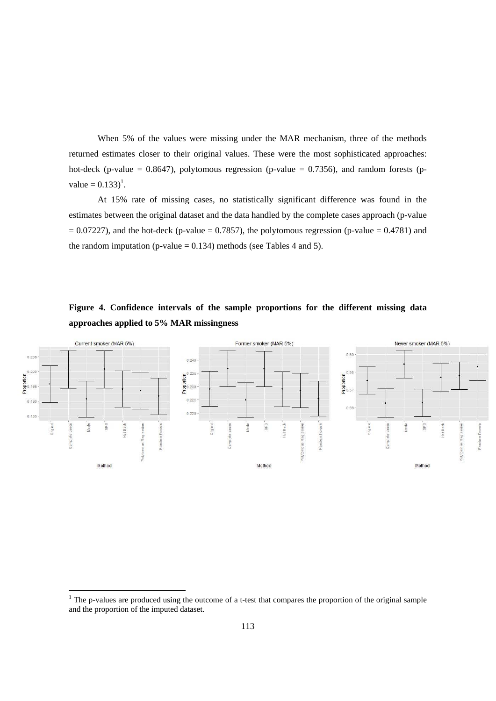When 5% of the values were missing under the MAR mechanism, three of the methods returned estimates closer to their original values. These were the most sophisticated approaches: hot-deck (p-value = 0.8647), polytomous regression (p-value = 0.7356), and random forests (pvalue =  $0.133$ <sup>1</sup>.

At 15% rate of missing cases, no statistically significant difference was found in the estimates between the original dataset and the data handled by the complete cases approach (p-value  $= 0.07227$ ), and the hot-deck (p-value  $= 0.7857$ ), the polytomous regression (p-value  $= 0.4781$ ) and the random imputation (p-value  $= 0.134$ ) methods (see Tables 4 and 5).

# **Figure 4. Confidence intervals of the sample proportions for the different missing data approaches applied to 5% MAR missingness**



<sup>&</sup>lt;sup>1</sup> The p-values are produced using the outcome of a t-test that compares the proportion of the original sample and the proportion of the imputed dataset.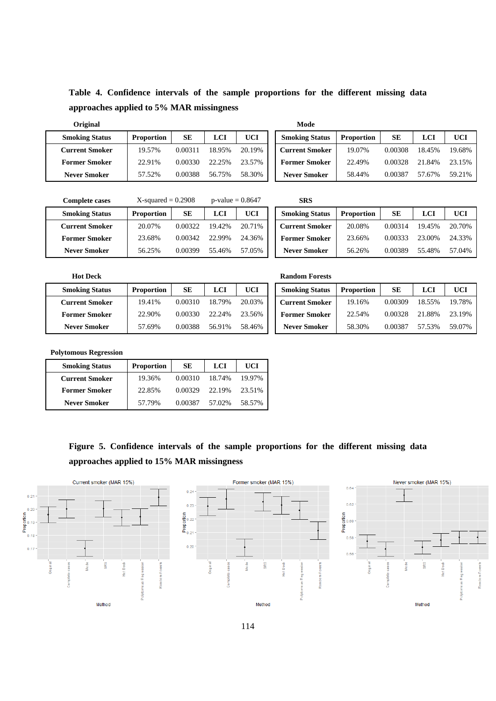**Table 4. Confidence intervals of the sample proportions for the different missing data approaches applied to 5% MAR missingness** 

| <b>Original</b>       |                   |         |            |            | Mode                  |                   |           |        |        |
|-----------------------|-------------------|---------|------------|------------|-----------------------|-------------------|-----------|--------|--------|
| <b>Smoking Status</b> | <b>Proportion</b> | SE      | <b>LCI</b> | <b>UCI</b> | <b>Smoking Status</b> | <b>Proportion</b> | <b>SE</b> | LCI    | UCI    |
| Current Smoker        | 19.57%            | 0.00311 | 18.95%     | 20.19%     | <b>Current Smoker</b> | 19.07%            | 0.00308   | 18.45% | 19.68% |
| <b>Former Smoker</b>  | 22.91%            | 0.00330 | 22.25%     | 23.57%     | <b>Former Smoker</b>  | 22.49%            | 0.00328   | 21.84% | 23.15% |
| <b>Never Smoker</b>   | 57.52%            | 0.00388 | 56.75%     | 58.30%     | <b>Never Smoker</b>   | 58.44%            | 0.00387   | 57.67% | 59.21% |

| 1.1.1.1.1.            |                   |         |        |        |
|-----------------------|-------------------|---------|--------|--------|
| <b>Smoking Status</b> | <b>Proportion</b> | SЕ      | LCI    | UCI    |
| <b>Current Smoker</b> | 19.07%            | 0.00308 | 18.45% | 19.68% |
| <b>Former Smoker</b>  | 22.49%            | 0.00328 | 21.84% | 23.15% |
| <b>Never Smoker</b>   | 58.44%            | 0.00387 | 57.67% | 59.21% |

| <b>Complete cases</b> | $X$ -squared = 0.2908 |         | $p$ -value = 0.8647 |        | <b>SRS</b>            |                   |         |        |        |
|-----------------------|-----------------------|---------|---------------------|--------|-----------------------|-------------------|---------|--------|--------|
| <b>Smoking Status</b> | <b>Proportion</b>     | SE      | LCI                 | UCI    | <b>Smoking Status</b> | <b>Proportion</b> | SЕ      | LCI    | UCI    |
| Current Smoker        | 20.07%                | 0.00322 | 19.42%              | 20.71% | <b>Current Smoker</b> | 20.08%            | 0.00314 | 19.45% | 20.70% |
| <b>Former Smoker</b>  | 23.68%                | 0.00342 | 22.99%              | 24.36% | <b>Former Smoker</b>  | 23.66%            | 0.00333 | 23.00% | 24.33% |
| <b>Never Smoker</b>   | 56.25%                | 0.00399 | 55.46%              | 57.05% | <b>Never Smoker</b>   | 56.26%            | 0.00389 | 55.48% | 57.04% |

| SRS                   |                   |         |        |        |
|-----------------------|-------------------|---------|--------|--------|
| <b>Smoking Status</b> | <b>Proportion</b> | SЕ      | LCI    | UCI    |
| <b>Current Smoker</b> | 20.08%            | 0.00314 | 19.45% | 20.70% |
| <b>Former Smoker</b>  | 23.66%            | 0.00333 | 23.00% | 24.33% |
| <b>Never Smoker</b>   | 56.26%            | 0.00389 | 55.48% | 57.04% |

| <b>Hot Deck</b>       |                   |         |        |            | <b>Random Forests</b> |                   |           |        |        |  |  |
|-----------------------|-------------------|---------|--------|------------|-----------------------|-------------------|-----------|--------|--------|--|--|
| <b>Smoking Status</b> | <b>Proportion</b> | SE      | LCI    | <b>UCI</b> | <b>Smoking Status</b> | <b>Proportion</b> | <b>SE</b> | LCI    | UCI    |  |  |
| <b>Current Smoker</b> | 19.41%            | 0.00310 | 18.79% | 20.03%     | <b>Current Smoker</b> | 19.16%            | 0.00309   | 18.55% | 19.78% |  |  |
| <b>Former Smoker</b>  | 22.90%            | 0.00330 | 22.24% | 23.56%     | <b>Former Smoker</b>  | 22.54%            | 0.00328   | 21.88% | 23.19% |  |  |
| <b>Never Smoker</b>   | 57.69%            | 0.00388 | 56.91% | 58.46%     | <b>Never Smoker</b>   | 58.30%            | 0.00387   | 57.53% | 59.07% |  |  |

| <b>Random Forests</b> |                   |         |            |        |
|-----------------------|-------------------|---------|------------|--------|
| <b>Smoking Status</b> | <b>Proportion</b> | SЕ      | <b>LCI</b> | UCI    |
| <b>Current Smoker</b> | 19.16%            | 0.00309 | 18.55%     | 19.78% |
| <b>Former Smoker</b>  | 22.54%            | 0.00328 | 21.88%     | 23.19% |
| <b>Never Smoker</b>   | 58.30%            | 0.00387 | 57.53%     | 59.07% |

**Polytomous Regression** 

| <b>Smoking Status</b> | <b>Proportion</b> | SЕ      | LCI    | UCI    |
|-----------------------|-------------------|---------|--------|--------|
| <b>Current Smoker</b> | 19.36%            | 0.00310 | 18.74% | 19.97% |
| <b>Former Smoker</b>  | 22.85%            | 0.00329 | 22.19% | 23.51% |
| <b>Never Smoker</b>   | 57.79%            | 0.00387 | 57.02% | 58.57% |

**Figure 5. Confidence intervals of the sample proportions for the different missing data approaches applied to 15% MAR missingness** 

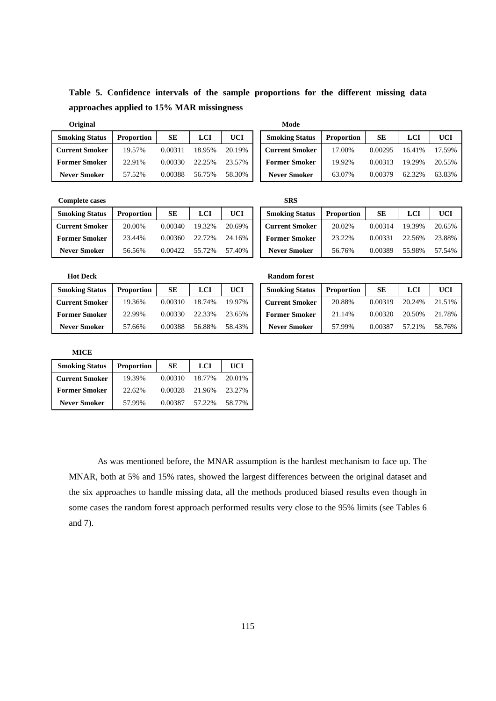**Table 5. Confidence intervals of the sample proportions for the different missing data approaches applied to 15% MAR missingness** 

| Original              |                   |           |            |        | Mode              |
|-----------------------|-------------------|-----------|------------|--------|-------------------|
| <b>Smoking Status</b> | <b>Proportion</b> | <b>SE</b> | <b>LCI</b> | UCI    | <b>Smoking St</b> |
| <b>Current Smoker</b> | 19.57%            | 0.00311   | 18.95%     | 20.19% | <b>Current Sm</b> |
| <b>Former Smoker</b>  | 22.91%            | 0.00330   | 22.25%     | 23.57% | <b>Former Sm</b>  |
| <b>Never Smoker</b>   | 57.52%            | 0.00388   | 56.75%     | 58.30% | <b>Never Smo</b>  |

| ۰.<br>×<br>۰,<br>×<br>. |
|-------------------------|
|-------------------------|

| <b>Smoking Status</b> | <b>Proportion</b> | SЕ      | <b>LCI</b> | <b>UCI</b> | <b>Smoking Status</b> | <b>Proportion</b> | <b>SE</b> | LCI    | UCI    |
|-----------------------|-------------------|---------|------------|------------|-----------------------|-------------------|-----------|--------|--------|
| <b>Current Smoker</b> | 19.57%            | 0.00311 | 18.95%     | 20.19%     | <b>Current Smoker</b> | 17.00%            | 0.00295   | 16.41% | 17.59% |
| <b>Former Smoker</b>  | 22.91%            | 0.00330 | 22.25%     | 23.57%     | <b>Former Smoker</b>  | 19.92%            | 0.00313   | 19.29% | 20.55% |
| <b>Never Smoker</b>   | 57.52%            | 0.00388 | 56.75%     | 58.30%     | <b>Never Smoker</b>   | 63.07%            | 0.00379   | 62.32% | 63.83% |

**Complete cases** SRS

| <b>Smoking Status</b> | <b>Proportion</b> | <b>SE</b> | <b>LCI</b> | <b>UCI</b> | <b>Smoking Status</b> | <b>Proportion</b> | <b>SE</b> |        | UCI    |
|-----------------------|-------------------|-----------|------------|------------|-----------------------|-------------------|-----------|--------|--------|
| <b>Current Smoker</b> | 20.00%            | 0.00340   | 19.32%     | 20.69%     | <b>Current Smoker</b> | 20.02%            | 0.00314   | 19.39% | 20.65% |
| <b>Former Smoker</b>  | 23.44%            | 0.00360   | 22.72%     | 24.16%     | <b>Former Smoker</b>  | 23.22%            | 0.00331   | 22.56% | 23.88% |
| <b>Never Smoker</b>   | 56.56%            | 0.00422   | 55.72%     | 57.40%     | <b>Never Smoker</b>   | 56.76%            | 0.00389   | 55.98% | 57.54% |

| Complete cases        |                   |         |            |            | SKS                   |                   |           |        |        |
|-----------------------|-------------------|---------|------------|------------|-----------------------|-------------------|-----------|--------|--------|
| <b>Smoking Status</b> | <b>Proportion</b> | SE      | <b>LCI</b> | <b>UCI</b> | <b>Smoking Status</b> | <b>Proportion</b> | <b>SE</b> | LCI    | UCI    |
| Current Smoker        | 20.00%            | 0.00340 | 19.32%     | 20.69%     | <b>Current Smoker</b> | 20.02%            | 0.00314   | 19.39% | 20.65% |
| Former Smoker         | 23.44%            | 0.00360 | 22.72%     | 24.16%     | <b>Former Smoker</b>  | 23.22%            | 0.00331   | 22.56% | 23.88% |
| <b>Never Smoker</b>   | 56.56%            | 0.00422 | 55.72%     | 57.40%     | <b>Never Smoker</b>   | 56.76%            | 0.00389   | 55.98% | 57.54% |

| <b>Hot Deck</b>       |                   |         |            |        | <b>Random forest</b>  |                   |           |        |            |
|-----------------------|-------------------|---------|------------|--------|-----------------------|-------------------|-----------|--------|------------|
| <b>Smoking Status</b> | <b>Proportion</b> | SE      | <b>LCI</b> | UCI    | <b>Smoking Status</b> | <b>Proportion</b> | <b>SE</b> | LCI    | <b>UCI</b> |
| <b>Current Smoker</b> | 19.36%            | 0.00310 | 18.74%     | 19.97% | <b>Current Smoker</b> | 20.88%            | 0.00319   | 20.24% | 21.51%     |
| <b>Former Smoker</b>  | 22.99%            | 0.00330 | 22.33%     | 23.65% | <b>Former Smoker</b>  | 21.14%            | 0.00320   | 20.50% | 21.78%     |
| <b>Never Smoker</b>   | 57.66%            | 0.00388 | 56.88%     | 58.43% | <b>Never Smoker</b>   | 57.99%            | 0.00387   | 57.21% | 58.76%     |
|                       |                   |         |            |        |                       |                   |           |        |            |

**MICE** 

| <b>Smoking Status</b> | <b>Proportion</b> | SЕ      | <b>LCI</b> | UCI    |
|-----------------------|-------------------|---------|------------|--------|
| <b>Current Smoker</b> | 19.39%            | 0.00310 | 18.77%     | 20.01% |
| <b>Former Smoker</b>  | 22.62%            | 0.00328 | 21.96%     | 23.27% |
| <b>Never Smoker</b>   | 57.99%            | 0.00387 | 57.22%     | 58.77% |

As was mentioned before, the MNAR assumption is the hardest mechanism to face up. The MNAR, both at 5% and 15% rates, showed the largest differences between the original dataset and the six approaches to handle missing data, all the methods produced biased results even though in some cases the random forest approach performed results very close to the 95% limits (see Tables 6 and 7).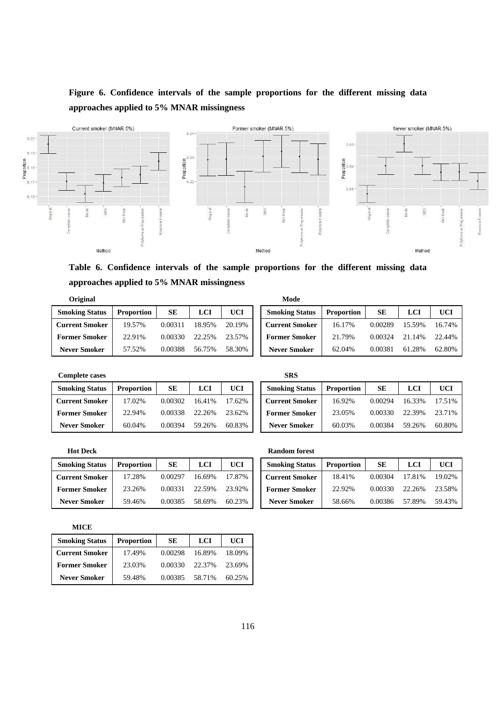# **Figure 6. Confidence intervals of the sample proportions for the different missing data approaches applied to 5% MNAR missingness**



**Table 6. Confidence intervals of the sample proportions for the different missing data approaches applied to 5% MNAR missingness** 

| Original              |                   |         |            |            | Mode                  |                   |         |        |            |
|-----------------------|-------------------|---------|------------|------------|-----------------------|-------------------|---------|--------|------------|
| <b>Smoking Status</b> | <b>Proportion</b> | SE      | <b>LCI</b> | <b>UCI</b> | <b>Smoking Status</b> | <b>Proportion</b> | SЕ      | LCI    | <b>UCI</b> |
| <b>Current Smoker</b> | 19.57%            | 0.00311 | 18.95%     | 20.19%     | <b>Current Smoker</b> | 16.17%            | 0.00289 | 15.59% | 16.749     |
| <b>Former Smoker</b>  | 22.91%            | 0.00330 | 22.25%     | 23.57%     | <b>Former Smoker</b>  | 21.79%            | 0.00324 | 21.14% | 22.449     |
| <b>Never Smoker</b>   | 57.52%            | 0.00388 | 56.75%     | 58.30%     | <b>Never Smoker</b>   | 62.04%            | 0.00381 | 61.28% | 62.809     |

| SRS |
|-----|
|     |

| <b>Smoking Status</b> | <b>Proportion</b> | SЕ      | LCI    | <b>UCI</b> | <b>Smoking Status</b> | <b>Proportion</b> | SЕ      | LCI    | UCI    |
|-----------------------|-------------------|---------|--------|------------|-----------------------|-------------------|---------|--------|--------|
| <b>Current Smoker</b> | 17.02%            | 0.00302 | 16.41% | 17.62%     | <b>Current Smoker</b> | 16.92%            | 0.00294 | 16.33% | 17.519 |
| <b>Former Smoker</b>  | 22.94%            | 0.00338 | 22.26% | 23.62%     | <b>Former Smoker</b>  | 23.05%            | 0.00330 | 22.39% | 23.719 |
| <b>Never Smoker</b>   | 60.04%            | 0.00394 | 59.26% | 60.83%     | <b>Never Smoker</b>   | 60.03%            | 0.00384 | 59.26% | 60.809 |

| <b>ULLEMAN</b>        |                   |           |            |            | www                   |                   |           |        |        |
|-----------------------|-------------------|-----------|------------|------------|-----------------------|-------------------|-----------|--------|--------|
| <b>Smoking Status</b> | <b>Proportion</b> | <b>SE</b> | <b>LCI</b> | <b>UCI</b> | <b>Smoking Status</b> | <b>Proportion</b> | <b>SE</b> | LCI    | UCI    |
| <b>Current Smoker</b> | 19.57%            | 0.00311   | 18.95%     | 20.19%     | <b>Current Smoker</b> | 16.17%            | 0.00289   | 15.59% | 16.74% |
| <b>Former Smoker</b>  | 22.91%            | 0.00330   | 22.25%     | 23.57%     | <b>Former Smoker</b>  | 21.79%            | 0.00324   | 21.14% | 22.44% |
| <b>Never Smoker</b>   | 57.52%            | 0.00388   | 56.75%     | 58.30%     | <b>Never Smoker</b>   | 62.04%            | 0.00381   | 61.28% | 62.80% |

| <b>Complete cases</b> |                   |         |            |            | SRS                   |                   |         |        |            |
|-----------------------|-------------------|---------|------------|------------|-----------------------|-------------------|---------|--------|------------|
| <b>Smoking Status</b> | <b>Proportion</b> | SЕ      | <b>LCI</b> | <b>UCI</b> | <b>Smoking Status</b> | <b>Proportion</b> | SE      | LCI    | <b>UCI</b> |
| <b>Current Smoker</b> | 17.02%            | 0.00302 | 16.41%     | 17.62%     | <b>Current Smoker</b> | 16.92%            | 0.00294 | 16.33% | 17.51%     |
| <b>Former Smoker</b>  | 22.94%            | 0.00338 | 22.26%     | 23.62%     | <b>Former Smoker</b>  | 23.05%            | 0.00330 | 22.39% | 23.71%     |
| <b>Never Smoker</b>   | 60.04%            | 0.00394 | 59.26%     | 60.83%     | <b>Never Smoker</b>   | 60.03%            | 0.00384 | 59.26% | 60.80%     |

| <b>Hot Deck</b>       |                   |         |            |        | <b>Random forest</b>  |
|-----------------------|-------------------|---------|------------|--------|-----------------------|
| <b>Smoking Status</b> | <b>Proportion</b> | SЕ      | <b>LCI</b> | UCI    | <b>Smoking Status</b> |
| <b>Current Smoker</b> | 17.28%            | 0.00297 | 16.69%     | 17.87% | <b>Current Smoker</b> |
| <b>Former Smoker</b>  | 23.26%            | 0.00331 | 22.59%     | 23.92% | <b>Former Smoker</b>  |
| <b>Never Smoker</b>   | 59.46%            | 0.00385 | 58.69%     | 60.23% | <b>Never Smoker</b>   |

| Random for |  |  |  |
|------------|--|--|--|

| <b>Smoking Status</b> | <b>Proportion</b> | SЕ      | LCI    | <b>UCI</b> | <b>Smoking Status</b> | <b>Proportion</b> | SЕ      | LCI    | <b>UCI</b> |
|-----------------------|-------------------|---------|--------|------------|-----------------------|-------------------|---------|--------|------------|
| <b>Current Smoker</b> | 17.28%            | 0.00297 | 16.69% | 17.87%     | <b>Current Smoker</b> | 18.41%            | 0.00304 | 17.81% | 19.02%     |
| <b>Former Smoker</b>  | 23.26%            | 0.00331 | 22.59% | 23.92%     | <b>Former Smoker</b>  | 22.92%            | 0.00330 | 22.26% | 23.58%     |
| <b>Never Smoker</b>   | 59.46%            | 0.00385 | 58.69% | 60.23%     | <b>Never Smoker</b>   | 58.66%            | 0.00386 | 57.89% | 59.43%     |

**MICE** 

| <b>Smoking Status</b> | <b>Proportion</b> | SЕ      | LCI    | UCI    |
|-----------------------|-------------------|---------|--------|--------|
| <b>Current Smoker</b> | 17.49%            | 0.00298 | 16.89% | 18.09% |
| <b>Former Smoker</b>  | 23.03%            | 0.00330 | 22.37% | 23.69% |
| <b>Never Smoker</b>   | 59.48%            | 0.00385 | 58.71% | 60.25% |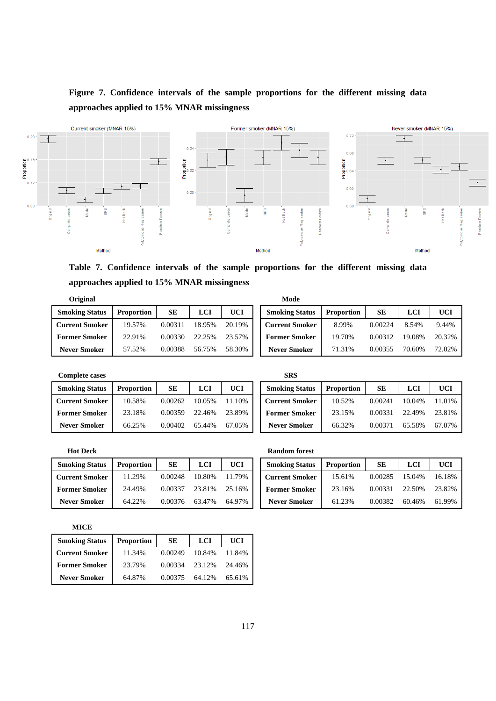# **Figure 7. Confidence intervals of the sample proportions for the different missing data approaches applied to 15% MNAR missingness**



**Table 7. Confidence intervals of the sample proportions for the different missing data approaches applied to 15% MNAR missingness** 

| Original              |                   |         |            |            | Mode                  |                   |         |            |            |
|-----------------------|-------------------|---------|------------|------------|-----------------------|-------------------|---------|------------|------------|
| <b>Smoking Status</b> | <b>Proportion</b> | SЕ      | <b>LCI</b> | <b>UCI</b> | <b>Smoking Status</b> | <b>Proportion</b> | SЕ      | <b>LCI</b> | <b>UCI</b> |
| <b>Current Smoker</b> | 19.57%            | 0.00311 | 18.95%     | 20.19%     | <b>Current Smoker</b> | 8.99%             | 0.00224 | 8.54%      | 9.44%      |
| <b>Former Smoker</b>  | 22.91%            | 0.00330 | 22.25%     | 23.57%     | <b>Former Smoker</b>  | 19.70%            | 0.00312 | 19.08%     | 20.329     |
| <b>Never Smoker</b>   | 57.52%            | 0.00388 | 56.75%     | 58.30%     | <b>Never Smoker</b>   | 71.31%            | 0.00355 | 70.60%     | 72.029     |

| <b>Complete cases</b> | SRS |
|-----------------------|-----|
|-----------------------|-----|

| <b>Smoking Status</b> | <b>Proportion</b> | SЕ      | LCI    | <b>UCI</b> | <b>Smoking Status</b> | <b>Proportion</b> | SЕ      | LCI    | <b>UCI</b> |
|-----------------------|-------------------|---------|--------|------------|-----------------------|-------------------|---------|--------|------------|
| <b>Current Smoker</b> | 10.58%            | 0.00262 | 10.05% | 11.10%     | <b>Current Smoker</b> | 10.52%            | 0.00241 | 10.04% | 11.019     |
| <b>Former Smoker</b>  | 23.18%            | 0.00359 | 22.46% | 23.89%     | <b>Former Smoker</b>  | 23.15%            | 0.00331 | 22.49% | 23.819     |
| <b>Never Smoker</b>   | 66.25%            | 0.00402 | 65.44% | 67.05%     | <b>Never Smoker</b>   | 66.32%            | 0.00371 | 65.58% | 67.079     |

| $\mathbf{v}$          |                   |         |            |            | .                     |                   |           |        |        |
|-----------------------|-------------------|---------|------------|------------|-----------------------|-------------------|-----------|--------|--------|
| <b>Smoking Status</b> | <b>Proportion</b> | SЕ      | <b>LCI</b> | <b>UCI</b> | <b>Smoking Status</b> | <b>Proportion</b> | <b>SE</b> | LCI    | UCI    |
| <b>Current Smoker</b> | 19.57%            | 0.00311 | 18.95%     | 20.19%     | <b>Current Smoker</b> | 8.99%             | 0.00224   | 8.54%  | 9.44%  |
| <b>Former Smoker</b>  | 22.91%            | 0.00330 | 22.25%     | 23.57%     | <b>Former Smoker</b>  | 19.70%            | 0.00312   | 19.08% | 20.32% |
| <b>Never Smoker</b>   | 57.52%            | 0.00388 | 56.75%     | 58.30%     | <b>Never Smoker</b>   | 71.31%            | 0.00355   | 70.60% | 72.02% |

| Complete cases        |                   |         |        |            | SKS                   |                   |           |        |        |
|-----------------------|-------------------|---------|--------|------------|-----------------------|-------------------|-----------|--------|--------|
| <b>Smoking Status</b> | <b>Proportion</b> | SЕ      | LCI    | <b>UCI</b> | <b>Smoking Status</b> | <b>Proportion</b> | <b>SE</b> | LCI    | UCI    |
| <b>Current Smoker</b> | 10.58%            | 0.00262 | 10.05% | 11.10%     | <b>Current Smoker</b> | 10.52%            | 0.00241   | 10.04% | 11.01% |
| <b>Former Smoker</b>  | 23.18%            | 0.00359 | 22.46% | 23.89%     | <b>Former Smoker</b>  | 23.15%            | 0.00331   | 22.49% | 23.81% |
| <b>Never Smoker</b>   | 66.25%            | 0.00402 | 65.44% | 67.05%     | <b>Never Smoker</b>   | 66.32%            | 0.00371   | 65.58% | 67.07% |

| <b>Hot Deck</b>       |                   |           |        |            | <b>Random forest</b> |                       |                   |           |        |        |  |
|-----------------------|-------------------|-----------|--------|------------|----------------------|-----------------------|-------------------|-----------|--------|--------|--|
| <b>Smoking Status</b> | <b>Proportion</b> | <b>SE</b> | LCI    | <b>UCI</b> |                      | <b>Smoking Status</b> | <b>Proportion</b> | <b>SE</b> | LCI    | UCI    |  |
| <b>Current Smoker</b> | 11.29%            | 0.00248   | 10.80% | 11.79%     |                      | <b>Current Smoker</b> | 15.61%            | 0.00285   | 15.04% | 16.18% |  |
| <b>Former Smoker</b>  | 24.49%            | 0.00337   | 23.81% | 25.16%     |                      | <b>Former Smoker</b>  | 23.16%            | 0.00331   | 22.50% | 23.82% |  |
| <b>Never Smoker</b>   | 64.22%            | 0.00376   | 63.47% | 64.97%     |                      | <b>Never Smoker</b>   | 61.23%            | 0.00382   | 60.46% | 61.99% |  |

**MICE** 

| <b>Smoking Status</b> | <b>Proportion</b> | SЕ      | <b>LCI</b> | UCI    |  |
|-----------------------|-------------------|---------|------------|--------|--|
| <b>Current Smoker</b> | 11.34%            | 0.00249 | 10.84%     | 11.84% |  |
| <b>Former Smoker</b>  | 23.79%            | 0.00334 | 23.12%     | 24.46% |  |
| <b>Never Smoker</b>   | 64.87%            | 0.00375 | 64.12%     | 65.61% |  |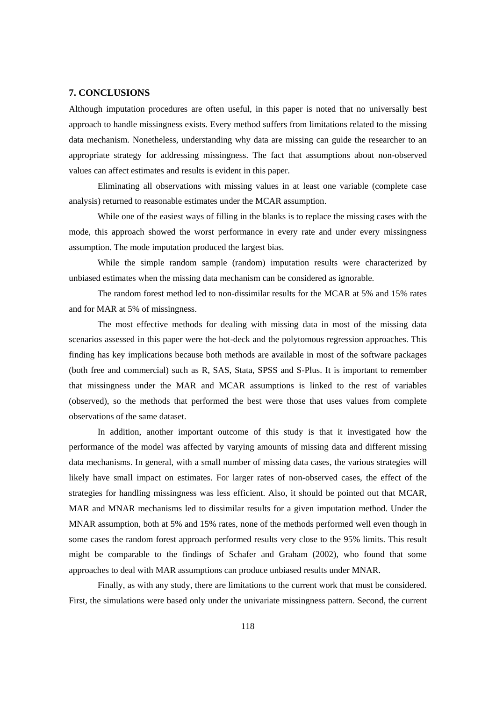#### **7. CONCLUSIONS**

Although imputation procedures are often useful, in this paper is noted that no universally best approach to handle missingness exists. Every method suffers from limitations related to the missing data mechanism. Nonetheless, understanding why data are missing can guide the researcher to an appropriate strategy for addressing missingness. The fact that assumptions about non-observed values can affect estimates and results is evident in this paper.

Eliminating all observations with missing values in at least one variable (complete case analysis) returned to reasonable estimates under the MCAR assumption.

While one of the easiest ways of filling in the blanks is to replace the missing cases with the mode, this approach showed the worst performance in every rate and under every missingness assumption. The mode imputation produced the largest bias.

While the simple random sample (random) imputation results were characterized by unbiased estimates when the missing data mechanism can be considered as ignorable.

The random forest method led to non-dissimilar results for the MCAR at 5% and 15% rates and for MAR at 5% of missingness.

The most effective methods for dealing with missing data in most of the missing data scenarios assessed in this paper were the hot-deck and the polytomous regression approaches. This finding has key implications because both methods are available in most of the software packages (both free and commercial) such as R, SAS, Stata, SPSS and S-Plus. It is important to remember that missingness under the MAR and MCAR assumptions is linked to the rest of variables (observed), so the methods that performed the best were those that uses values from complete observations of the same dataset.

In addition, another important outcome of this study is that it investigated how the performance of the model was affected by varying amounts of missing data and different missing data mechanisms. In general, with a small number of missing data cases, the various strategies will likely have small impact on estimates. For larger rates of non-observed cases, the effect of the strategies for handling missingness was less efficient. Also, it should be pointed out that MCAR, MAR and MNAR mechanisms led to dissimilar results for a given imputation method. Under the MNAR assumption, both at 5% and 15% rates, none of the methods performed well even though in some cases the random forest approach performed results very close to the 95% limits. This result might be comparable to the findings of Schafer and Graham (2002), who found that some approaches to deal with MAR assumptions can produce unbiased results under MNAR.

Finally, as with any study, there are limitations to the current work that must be considered. First, the simulations were based only under the univariate missingness pattern. Second, the current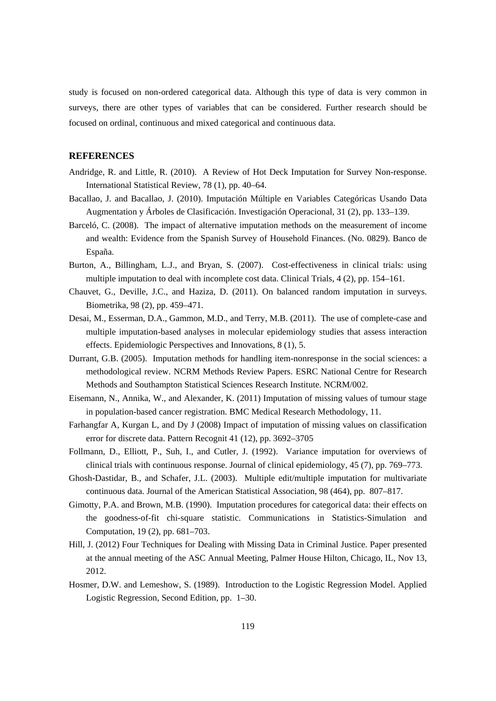study is focused on non-ordered categorical data. Although this type of data is very common in surveys, there are other types of variables that can be considered. Further research should be focused on ordinal, continuous and mixed categorical and continuous data.

#### **REFERENCES**

- Andridge, R. and Little, R. (2010). A Review of Hot Deck Imputation for Survey Non-response. International Statistical Review, 78 (1), pp. 40–64.
- Bacallao, J. and Bacallao, J. (2010). Imputación Múltiple en Variables Categóricas Usando Data Augmentation y Árboles de Clasificación. Investigación Operacional, 31 (2), pp. 133–139.
- Barceló, C. (2008). The impact of alternative imputation methods on the measurement of income and wealth: Evidence from the Spanish Survey of Household Finances. (No. 0829). Banco de España.
- Burton, A., Billingham, L.J., and Bryan, S. (2007). Cost-effectiveness in clinical trials: using multiple imputation to deal with incomplete cost data. Clinical Trials, 4 (2), pp. 154–161.
- Chauvet, G., Deville, J.C., and Haziza, D. (2011). On balanced random imputation in surveys. Biometrika, 98 (2), pp. 459–471.
- Desai, M., Esserman, D.A., Gammon, M.D., and Terry, M.B. (2011). The use of complete-case and multiple imputation-based analyses in molecular epidemiology studies that assess interaction effects. Epidemiologic Perspectives and Innovations, 8 (1), 5.
- Durrant, G.B. (2005). Imputation methods for handling item-nonresponse in the social sciences: a methodological review. NCRM Methods Review Papers. ESRC National Centre for Research Methods and Southampton Statistical Sciences Research Institute. NCRM/002.
- Eisemann, N., Annika, W., and Alexander, K. (2011) Imputation of missing values of tumour stage in population-based cancer registration. BMC Medical Research Methodology, 11.
- Farhangfar A, Kurgan L, and Dy J (2008) Impact of imputation of missing values on classification error for discrete data. Pattern Recognit 41 (12), pp. 3692–3705
- Follmann, D., Elliott, P., Suh, I., and Cutler, J. (1992). Variance imputation for overviews of clinical trials with continuous response. Journal of clinical epidemiology, 45 (7), pp. 769–773.
- Ghosh-Dastidar, B., and Schafer, J.L. (2003). Multiple edit/multiple imputation for multivariate continuous data. Journal of the American Statistical Association, 98 (464), pp. 807–817.
- Gimotty, P.A. and Brown, M.B. (1990). Imputation procedures for categorical data: their effects on the goodness-of-fit chi-square statistic. Communications in Statistics-Simulation and Computation, 19 (2), pp. 681–703.
- Hill, J. (2012) Four Techniques for Dealing with Missing Data in Criminal Justice. Paper presented at the annual meeting of the ASC Annual Meeting, Palmer House Hilton, Chicago, IL, Nov 13, 2012.
- Hosmer, D.W. and Lemeshow, S. (1989). Introduction to the Logistic Regression Model. Applied Logistic Regression, Second Edition, pp. 1–30.